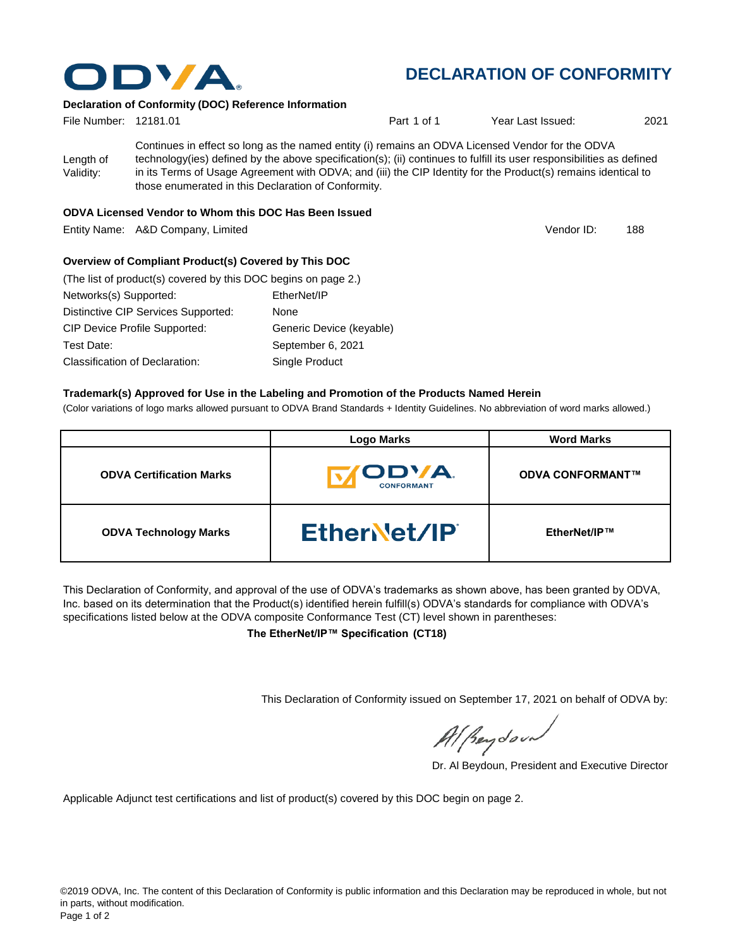

# **DECLARATION OF CONFORMITY**

Vendor ID:

### **Declaration of Conformity (DOC) Reference Information**

| File Number: 12181.01  |                                                     | Part 1 of 1                                                                                                                                                                                                                                                                                                                                | Year Last Issued: | 2021 |
|------------------------|-----------------------------------------------------|--------------------------------------------------------------------------------------------------------------------------------------------------------------------------------------------------------------------------------------------------------------------------------------------------------------------------------------------|-------------------|------|
| Length of<br>Validity: | those enumerated in this Declaration of Conformity. | Continues in effect so long as the named entity (i) remains an ODVA Licensed Vendor for the ODVA<br>technology(ies) defined by the above specification(s); (ii) continues to fulfill its user responsibilities as defined<br>in its Terms of Usage Agreement with ODVA; and (iii) the CIP Identity for the Product(s) remains identical to |                   |      |

### **ODVA Licensed Vendor to Whom this DOC Has Been Issued**

Entity Name: A&D Company, Limited 188 and 188 and 188 and 188 and 188 and 188 and 188 and 188 and 188 and 188 and 188 and 188 and 188 and 188 and 188 and 188 and 188 and 188 and 188 and 188 and 188 and 188 and 188 and 188

### **Overview of Compliant Product(s) Covered by This DOC**

| (The list of product(s) covered by this DOC begins on page 2.) |                          |  |  |  |
|----------------------------------------------------------------|--------------------------|--|--|--|
| Networks(s) Supported:                                         | EtherNet/IP              |  |  |  |
| Distinctive CIP Services Supported:                            | None                     |  |  |  |
| <b>CIP Device Profile Supported:</b>                           | Generic Device (keyable) |  |  |  |
| Test Date:                                                     | September 6, 2021        |  |  |  |
| Classification of Declaration:                                 | Single Product           |  |  |  |

#### **Trademark(s) Approved for Use in the Labeling and Promotion of the Products Named Herein**

(Color variations of logo marks allowed pursuant to ODVA Brand Standards + Identity Guidelines. No abbreviation of word marks allowed.)

|                                 | <b>Logo Marks</b>                         | <b>Word Marks</b>       |
|---------------------------------|-------------------------------------------|-------------------------|
| <b>ODVA Certification Marks</b> | <b><i>IODVA.</i></b><br><b>CONFORMANT</b> | <b>ODVA CONFORMANT™</b> |
| <b>ODVA Technology Marks</b>    | EtherNet/IP                               | EtherNet/IP™            |

This Declaration of Conformity, and approval of the use of ODVA's trademarks as shown above, has been granted by ODVA, Inc. based on its determination that the Product(s) identified herein fulfill(s) ODVA's standards for compliance with ODVA's specifications listed below at the ODVA composite Conformance Test (CT) level shown in parentheses:

**The EtherNet/IP™ Specification (CT18)**

This Declaration of Conformity issued on September 17, 2021 on behalf of ODVA by:

Al Beydoor

Dr. Al Beydoun, President and Executive Director

Applicable Adjunct test certifications and list of product(s) covered by this DOC begin on page 2.